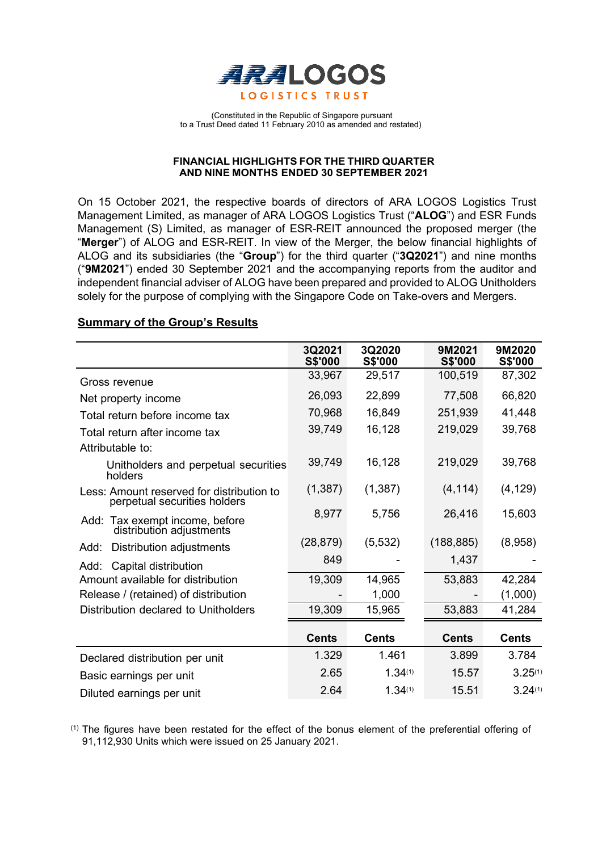

(Constituted in the Republic of Singapore pursuant to a Trust Deed dated 11 February 2010 as amended and restated)

## **FINANCIAL HIGHLIGHTS FOR THE THIRD QUARTER AND NINE MONTHS ENDED 30 SEPTEMBER 2021**

On 15 October 2021, the respective boards of directors of ARA LOGOS Logistics Trust Management Limited, as manager of ARA LOGOS Logistics Trust ("**ALOG**") and ESR Funds Management (S) Limited, as manager of ESR-REIT announced the proposed merger (the "**Merger**") of ALOG and ESR-REIT. In view of the Merger, the below financial highlights of ALOG and its subsidiaries (the "**Group**") for the third quarter ("**3Q2021**") and nine months ("**9M2021**") ended 30 September 2021 and the accompanying reports from the auditor and independent financial adviser of ALOG have been prepared and provided to ALOG Unitholders solely for the purpose of complying with the Singapore Code on Take-overs and Mergers.

## **Summary of the Group's Results**

|                                                                           | 3Q2021<br><b>S\$'000</b> | 3Q2020<br><b>S\$'000</b> | 9M2021<br><b>S\$'000</b> | 9M2020<br>S\$'000 |
|---------------------------------------------------------------------------|--------------------------|--------------------------|--------------------------|-------------------|
| Gross revenue                                                             | 33,967                   | 29,517                   | 100,519                  | 87,302            |
| Net property income                                                       | 26,093                   | 22,899                   | 77,508                   | 66,820            |
| Total return before income tax                                            | 70,968                   | 16,849                   | 251,939                  | 41,448            |
| Total return after income tax                                             | 39,749                   | 16,128                   | 219,029                  | 39,768            |
| Attributable to:                                                          |                          |                          |                          |                   |
| Unitholders and perpetual securities<br>holders                           | 39,749                   | 16,128                   | 219,029                  | 39,768            |
| Less: Amount reserved for distribution to<br>perpetual securities holders | (1, 387)                 | (1, 387)                 | (4, 114)                 | (4, 129)          |
| Add: Tax exempt income, before<br>distribution adjustments                | 8,977                    | 5,756                    | 26,416                   | 15,603            |
| Distribution adjustments<br>Add:                                          | (28, 879)                | (5, 532)                 | (188, 885)               | (8,958)           |
| Capital distribution<br>Add:                                              | 849                      |                          | 1,437                    |                   |
| Amount available for distribution                                         | 19,309                   | 14,965                   | 53,883                   | 42,284            |
| Release / (retained) of distribution                                      |                          | 1,000                    |                          | (1,000)           |
| Distribution declared to Unitholders                                      | 19,309                   | 15,965                   | 53,883                   | 41,284            |
|                                                                           | <b>Cents</b>             | <b>Cents</b>             | <b>Cents</b>             | <b>Cents</b>      |
| Declared distribution per unit                                            | 1.329                    | 1.461                    | 3.899                    | 3.784             |
| Basic earnings per unit                                                   | 2.65                     | 1.34(1)                  | 15.57                    | 3.25(1)           |
| Diluted earnings per unit                                                 | 2.64                     | 1.34(1)                  | 15.51                    | 3.24(1)           |

(1) The figures have been restated for the effect of the bonus element of the preferential offering of 91,112,930 Units which were issued on 25 January 2021.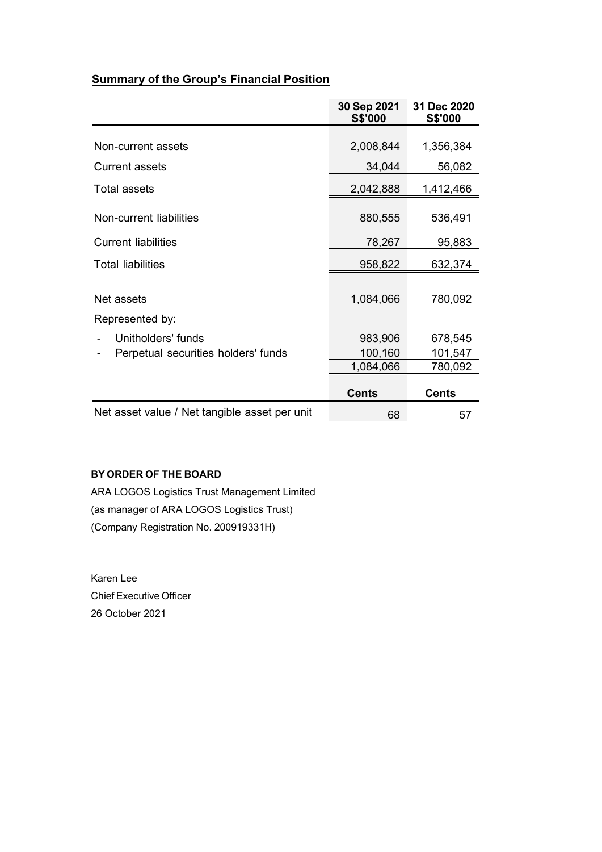# **Summary of the Group's Financial Position**

|                                               | 30 Sep 2021<br><b>S\$'000</b> | 31 Dec 2020<br><b>S\$'000</b> |
|-----------------------------------------------|-------------------------------|-------------------------------|
|                                               |                               |                               |
| Non-current assets                            | 2,008,844                     | 1,356,384                     |
| Current assets                                | 34,044                        | 56,082                        |
| Total assets                                  | 2,042,888                     | 1,412,466                     |
| Non-current liabilities                       | 880,555                       | 536,491                       |
| <b>Current liabilities</b>                    | 78,267                        | 95,883                        |
| <b>Total liabilities</b>                      | 958,822                       | 632,374                       |
| Net assets<br>Represented by:                 | 1,084,066                     | 780,092                       |
| Unitholders' funds                            | 983,906                       | 678,545                       |
| Perpetual securities holders' funds           | 100,160                       | 101,547                       |
|                                               | 1,084,066                     | 780,092                       |
|                                               | <b>Cents</b>                  | <b>Cents</b>                  |
| Net asset value / Net tangible asset per unit | 68                            | 57                            |

# **BY ORDER OF THE BOARD**

ARA LOGOS Logistics Trust Management Limited (as manager of ARA LOGOS Logistics Trust) (Company Registration No. 200919331H)

Karen Lee Chief Executive Officer 26 October 2021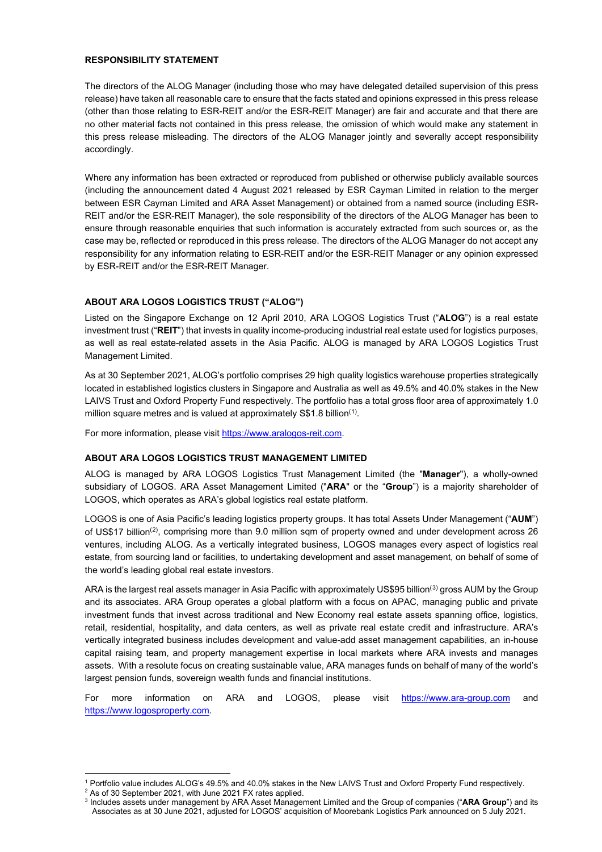### **RESPONSIBILITY STATEMENT**

The directors of the ALOG Manager (including those who may have delegated detailed supervision of this press release) have taken all reasonable care to ensure that the facts stated and opinions expressed in this press release (other than those relating to ESR-REIT and/or the ESR-REIT Manager) are fair and accurate and that there are no other material facts not contained in this press release, the omission of which would make any statement in this press release misleading. The directors of the ALOG Manager jointly and severally accept responsibility accordingly.

Where any information has been extracted or reproduced from published or otherwise publicly available sources (including the announcement dated 4 August 2021 released by ESR Cayman Limited in relation to the merger between ESR Cayman Limited and ARA Asset Management) or obtained from a named source (including ESR-REIT and/or the ESR-REIT Manager), the sole responsibility of the directors of the ALOG Manager has been to ensure through reasonable enquiries that such information is accurately extracted from such sources or, as the case may be, reflected or reproduced in this press release. The directors of the ALOG Manager do not accept any responsibility for any information relating to ESR-REIT and/or the ESR-REIT Manager or any opinion expressed by ESR-REIT and/or the ESR-REIT Manager.

## **ABOUT ARA LOGOS LOGISTICS TRUST ("ALOG")**

Listed on the Singapore Exchange on 12 April 2010, ARA LOGOS Logistics Trust ("**ALOG**") is a real estate investment trust ("**REIT**") that invests in quality income-producing industrial real estate used for logistics purposes, as well as real estate-related assets in the Asia Pacific. ALOG is managed by ARA LOGOS Logistics Trust Management Limited.

As at 30 September 2021, ALOG's portfolio comprises 29 high quality logistics warehouse properties strategically located in established logistics clusters in Singapore and Australia as well as 49.5% and 40.0% stakes in the New LAIVS Trust and Oxford Property Fund respectively. The portfolio has a total gross floor area of approximately 1.0 million square metres and is valued at approximately  $\text{\$\$1.8}$  $\text{\$\$1.8}$  $\text{\$\$1.8}$  billion<sup>(1)</sup>.

For more information, please visit https://www.aralogos-reit.com.

## **ABOUT ARA LOGOS LOGISTICS TRUST MANAGEMENT LIMITED**

ALOG is managed by ARA LOGOS Logistics Trust Management Limited (the "**Manager**"), a wholly-owned subsidiary of LOGOS. ARA Asset Management Limited ("**ARA**" or the "**Group**") is a majority shareholder of LOGOS, which operates as ARA's global logistics real estate platform.

LOGOS is one of Asia Pacific's leading logistics property groups. It has total Assets Under Management ("**AUM**") of US\$17 billion<sup>([2](#page-2-1))</sup>, comprising more than 9.0 million sqm of property owned and under development across 26 ventures, including ALOG. As a vertically integrated business, LOGOS manages every aspect of logistics real estate, from sourcing land or facilities, to undertaking development and asset management, on behalf of some of the world's leading global real estate investors.

ARA is the largest real assets manager in Asia Pacific with approximately US\$95 billion<sup>([3](#page-2-2))</sup> gross AUM by the Group and its associates. ARA Group operates a global platform with a focus on APAC, managing public and private investment funds that invest across traditional and New Economy real estate assets spanning office, logistics, retail, residential, hospitality, and data centers, as well as private real estate credit and infrastructure. ARA's vertically integrated business includes development and value-add asset management capabilities, an in-house capital raising team, and property management expertise in local markets where ARA invests and manages assets. With a resolute focus on creating sustainable value, ARA manages funds on behalf of many of the world's largest pension funds, sovereign wealth funds and financial institutions.

For more information on ARA and LOGOS, please visit [https://www.ara-group.com](https://www.ara-group.com/) and [https://www.logosproperty.com.](https://www.logosproperty.com/)

<sup>1</sup> Portfolio value includes ALOG's 49.5% and 40.0% stakes in the New LAIVS Trust and Oxford Property Fund respectively.

<span id="page-2-1"></span><span id="page-2-0"></span><sup>2</sup> As of 30 September 2021, with June 2021 FX rates applied.

<span id="page-2-2"></span><sup>3</sup> Includes assets under management by ARA Asset Management Limited and the Group of companies ("**ARA Group**") and its Associates as at 30 June 2021, adjusted for LOGOS' acquisition of Moorebank Logistics Park announced on 5 July 2021.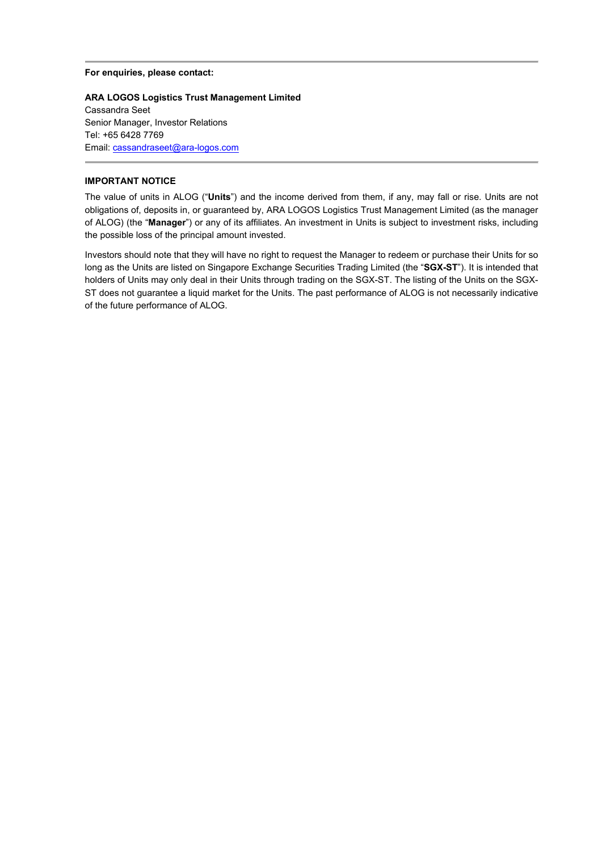#### **For enquiries, please contact:**

**ARA LOGOS Logistics Trust Management Limited** Cassandra Seet Senior Manager, Investor Relations Tel: +65 6428 7769 Email[: cassandraseet@ara-logos.com](mailto:cassandraseet@ara-logos.com)

#### **IMPORTANT NOTICE**

The value of units in ALOG ("**Units**") and the income derived from them, if any, may fall or rise. Units are not obligations of, deposits in, or guaranteed by, ARA LOGOS Logistics Trust Management Limited (as the manager of ALOG) (the "**Manager**") or any of its affiliates. An investment in Units is subject to investment risks, including the possible loss of the principal amount invested.

Investors should note that they will have no right to request the Manager to redeem or purchase their Units for so long as the Units are listed on Singapore Exchange Securities Trading Limited (the "**SGX-ST**"). It is intended that holders of Units may only deal in their Units through trading on the SGX-ST. The listing of the Units on the SGX-ST does not guarantee a liquid market for the Units. The past performance of ALOG is not necessarily indicative of the future performance of ALOG.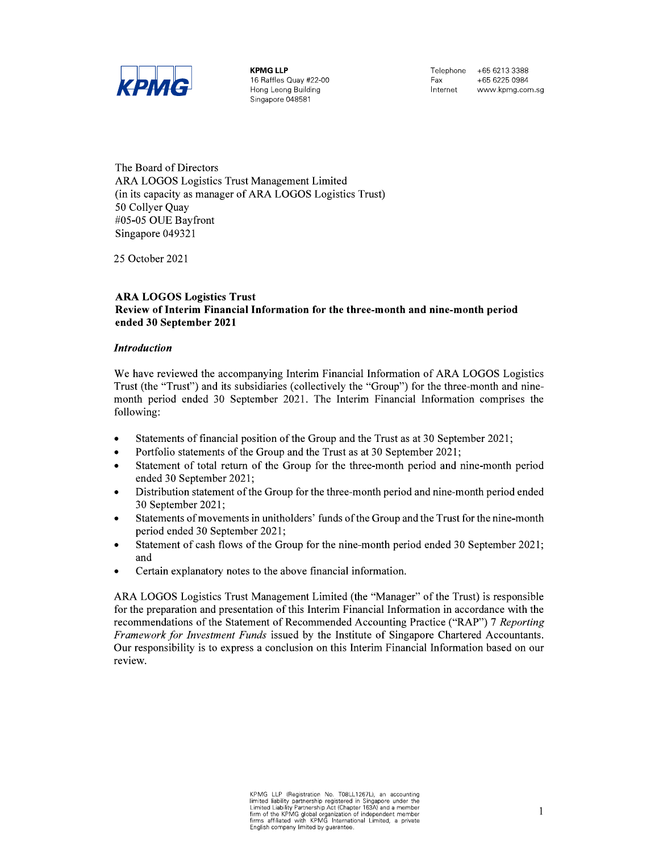

**KPMG LLP** 16 Raffles Quay #22-00 Hong Leong Building Singapore 048581

Telephone +65 6213 3388 Fax +65 6225 0984 Internet www.kpmg.com.sg

The Board of Directors ARA LOGOS Logistics Trust Management Limited (in its capacity as manager of ARA LOGOS Logistics Trust) 50 Collyer Quay #05-05 OUE Bayfront Singapore 049321

25 October 2021

### **ARA LOGOS Logistics Trust** Review of Interim Financial Information for the three-month and nine-month period ended 30 September 2021

## **Introduction**

We have reviewed the accompanying Interim Financial Information of ARA LOGOS Logistics Trust (the "Trust") and its subsidiaries (collectively the "Group") for the three-month and ninemonth period ended 30 September 2021. The Interim Financial Information comprises the following:

- Statements of financial position of the Group and the Trust as at 30 September 2021;  $\bullet$
- Portfolio statements of the Group and the Trust as at 30 September 2021;  $\bullet$
- Statement of total return of the Group for the three-month period and nine-month period ended 30 September 2021;
- Distribution statement of the Group for the three-month period and nine-month period ended  $\bullet$ 30 September 2021;
- Statements of movements in unitholders' funds of the Group and the Trust for the nine-month period ended 30 September 2021;
- Statement of cash flows of the Group for the nine-month period ended 30 September 2021;  $\bullet$ and
- Certain explanatory notes to the above financial information.

ARA LOGOS Logistics Trust Management Limited (the "Manager" of the Trust) is responsible for the preparation and presentation of this Interim Financial Information in accordance with the recommendations of the Statement of Recommended Accounting Practice ("RAP") 7 Reporting Framework for Investment Funds issued by the Institute of Singapore Chartered Accountants. Our responsibility is to express a conclusion on this Interim Financial Information based on our review.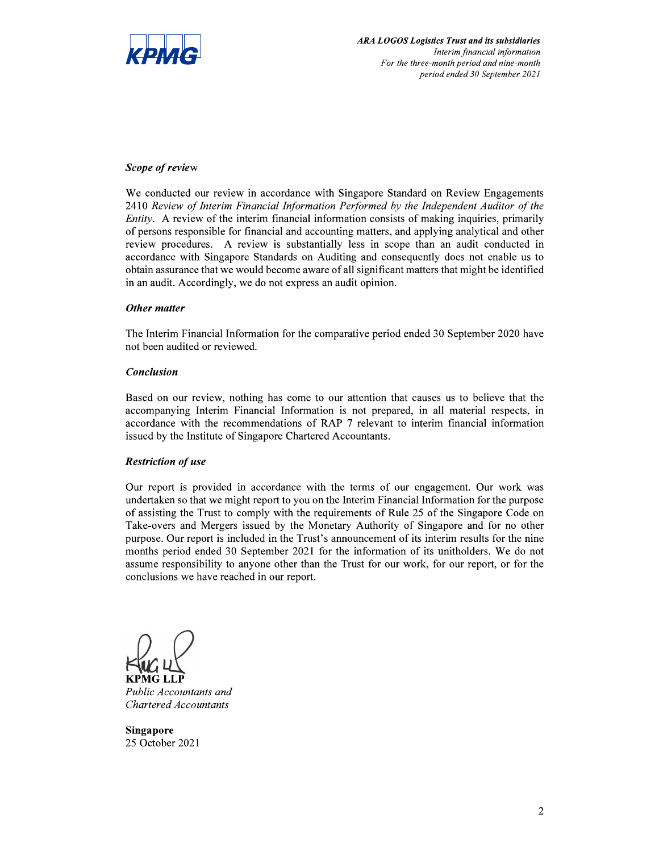

## Scope of review

We conducted our review in accordance with Singapore Standard on Review Engagements 2410 Review of Interim Financial Information Performed by the Independent Auditor of the *Entity*. A review of the interim financial information consists of making inquiries, primarily of persons responsible for financial and accounting matters, and applying analytical and other review procedures. A review is substantially less in scope than an audit conducted in accordance with Singapore Standards on Auditing and consequently does not enable us to obtain assurance that we would become aware of all significant matters that might be identified in an audit. Accordingly, we do not express an audit opinion.

## Other matter

The Interim Financial Information for the comparative period ended 30 September 2020 have not been audited or reviewed.

## **Conclusion**

Based on our review, nothing has come to our attention that causes us to believe that the accompanying Interim Financial Information is not prepared, in all material respects, in accordance with the recommendations of RAP 7 relevant to interim financial information issued by the Institute of Singapore Chartered Accountants.

## **Restriction of use**

Our report is provided in accordance with the terms of our engagement. Our work was undertaken so that we might report to you on the Interim Financial Information for the purpose of assisting the Trust to comply with the requirements of Rule 25 of the Singapore Code on Take-overs and Mergers issued by the Monetary Authority of Singapore and for no other purpose. Our report is included in the Trust's announcement of its interim results for the nine months period ended 30 September 2021 for the information of its unitholders. We do not assume responsibility to anyone other than the Trust for our work, for our report, or for the conclusions we have reached in our report.

Public Accountants and **Chartered Accountants** 

**Singapore** 25 October 2021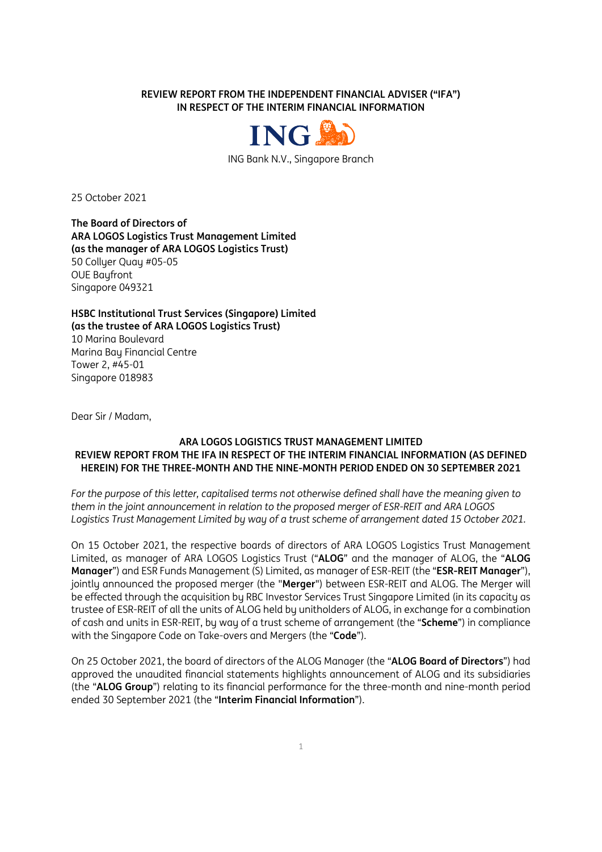**REVIEW REPORT FROM THE INDEPENDENT FINANCIAL ADVISER ("IFA") IN RESPECT OF THE INTERIM FINANCIAL INFORMATION** 



ING Bank N.V., Singapore Branch

25 October 2021

**The Board of Directors of ARA LOGOS Logistics Trust Management Limited (as the manager of ARA LOGOS Logistics Trust)** 50 Collyer Quay #05-05 OUE Bayfront Singapore 049321

**HSBC Institutional Trust Services (Singapore) Limited (as the trustee of ARA LOGOS Logistics Trust)** 10 Marina Boulevard Marina Bay Financial Centre Tower 2, #45-01 Singapore 018983

Dear Sir / Madam,

## **ARA LOGOS LOGISTICS TRUST MANAGEMENT LIMITED REVIEW REPORT FROM THE IFA IN RESPECT OF THE INTERIM FINANCIAL INFORMATION (AS DEFINED HEREIN) FOR THE THREE-MONTH AND THE NINE-MONTH PERIOD ENDED ON 30 SEPTEMBER 2021**

*For the purpose of this letter, capitalised terms not otherwise defined shall have the meaning given to them in the joint announcement in relation to the proposed merger of ESR-REIT and ARA LOGOS Logistics Trust Management Limited by way of a trust scheme of arrangement dated 15 October 2021.* 

On 15 October 2021, the respective boards of directors of ARA LOGOS Logistics Trust Management Limited, as manager of ARA LOGOS Logistics Trust ("**ALOG**" and the manager of ALOG, the "**ALOG Manager**") and ESR Funds Management (S) Limited, as manager of ESR-REIT (the "**ESR-REIT Manager**"), jointly announced the proposed merger (the "**Merger**") between ESR-REIT and ALOG. The Merger will be effected through the acquisition by RBC Investor Services Trust Singapore Limited (in its capacity as trustee of ESR-REIT of all the units of ALOG held by unitholders of ALOG, in exchange for a combination of cash and units in ESR-REIT, by way of a trust scheme of arrangement (the "**Scheme**") in compliance with the Singapore Code on Take-overs and Mergers (the "**Code**").

On 25 October 2021, the board of directors of the ALOG Manager (the "**ALOG Board of Directors**") had approved the unaudited financial statements highlights announcement of ALOG and its subsidiaries (the "**ALOG Group**") relating to its financial performance for the three-month and nine-month period ended 30 September 2021 (the "**Interim Financial Information**").